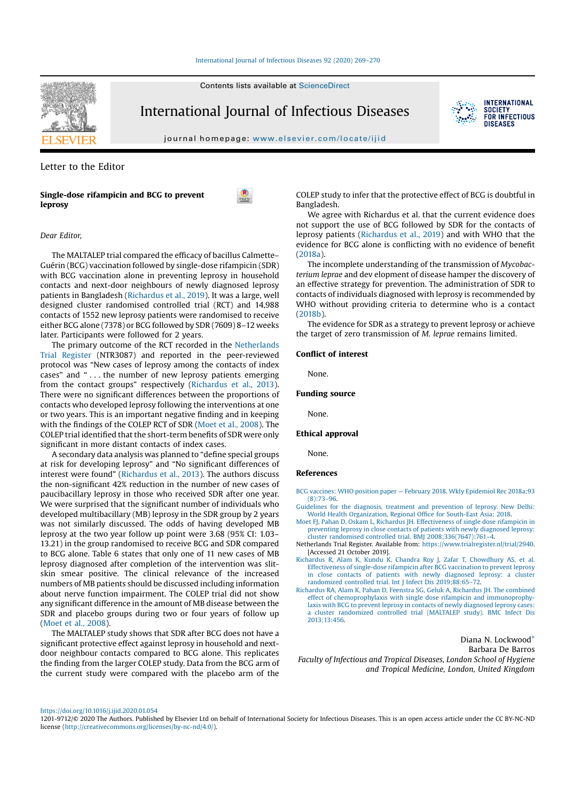#### International Journal of Infectious Diseases 92 (2020) 269–270

Contents lists available at ScienceDirect



International Journal of Infectious Diseases



**INTERNATIONAL SOCIETY** FOR INFECTIOUS **DISFASES** 

journal homepage: www.elsevier.com/locate/ijid

## Letter to the Editor

## Single-dose rifampicin and BCG to prevent leprosy



# Dear Editor,

The MALTALEP trial compared the efficacy of bacillus Calmette– Guérin (BCG) vaccination followed by single-dose rifampicin (SDR) with BCG vaccination alone in preventing leprosy in household contacts and next-door neighbours of newly diagnosed leprosy patients in Bangladesh (Richardus et al., 2019). It was a large, well designed cluster randomised controlled trial (RCT) and 14,988 contacts of 1552 new leprosy patients were randomised to receive either BCG alone (7378) or BCG followed by SDR (7609) 8–12 weeks later. Participants were followed for 2 years.

The primary outcome of the RCT recorded in the Netherlands Trial Register (NTR3087) and reported in the peer-reviewed protocol was "New cases of leprosy among the contacts of index cases" and " . . . the number of new leprosy patients emerging from the contact groups" respectively (Richardus et al., 2013). There were no significant differences between the proportions of contacts who developed leprosy following the interventions at one or two years. This is an important negative finding and in keeping with the findings of the COLEP RCT of SDR (Moet et al., 2008). The COLEP trial identified that the short-term benefits of SDR were only significant in more distant contacts of index cases.

A secondary data analysis was planned to "define special groups at risk for developing leprosy" and "No significant differences of interest were found" (Richardus et al., 2013). The authors discuss the non-significant 42% reduction in the number of new cases of paucibacillary leprosy in those who received SDR after one year. We were surprised that the significant number of individuals who developed multibacillary (MB) leprosy in the SDR group by 2 years was not similarly discussed. The odds of having developed MB leprosy at the two year follow up point were 3.68 (95% CI: 1.03– 13.21) in the group randomised to receive BCG and SDR compared to BCG alone. Table 6 states that only one of 11 new cases of MB leprosy diagnosed after completion of the intervention was slitskin smear positive. The clinical relevance of the increased numbers of MB patients should be discussed including information about nerve function impairment. The COLEP trial did not show any significant difference in the amount of MB disease between the SDR and placebo groups during two or four years of follow up (Moet et al., 2008).

The MALTALEP study shows that SDR after BCG does not have a significant protective effect against leprosy in household and nextdoor neighbour contacts compared to BCG alone. This replicates the finding from the larger COLEP study. Data from the BCG arm of the current study were compared with the placebo arm of the

COLEP study to infer that the protective effect of BCG is doubtful in Bangladesh.

We agree with Richardus et al. that the current evidence does not support the use of BCG followed by SDR for the contacts of leprosy patients (Richardus et al., 2019) and with WHO that the evidence for BCG alone is conflicting with no evidence of benefit (2018a).

The incomplete understanding of the transmission of Mycobacterium leprae and dev elopment of disease hamper the discovery of an effective strategy for prevention. The administration of SDR to contacts of individuals diagnosed with leprosy is recommended by WHO without providing criteria to determine who is a contact (2018b).

The evidence for SDR as a strategy to prevent leprosy or achieve the target of zero transmission of M. leprae remains limited.

#### Conflict of interest

None.

### Funding source

None.

## Ethical approval

None.

## References

- BCG vaccines: WHO position paper February 2018. Wkly Epidemiol Rec 2018a;93 (8):73–96.
- Guidelines for the diagnosis, treatment and prevention of leprosy. New Delhi: World Health Organization, Regional Office for South-East Asia; 2018.
- Moet FJ, Pahan D, Oskam L, Richardus JH. Effectiveness of single dose rifampicin in preventing leprosy in close contacts of patients with newly diagnosed leprosy: cluster randomised controlled trial. BMJ 2008;336(7647):761–4.
- Netherlands Trial Register. Available from: https://www.trialregister.nl/trial/2940. [Accessed 21 October 2019].
- Richardus R, Alam K, Kundu K, Chandra Roy J, Zafar T, Chowdhury AS, et al. Effectiveness of single-dose rifampicin after BCG vaccination to prevent leprosy in close contacts of patients with newly diagnosed leprosy: a cluster randomized controlled trial. Int J Infect Dis 2019;88:65–72.
- Richardus RA, Alam K, Pahan D, Feenstra SG, Geluk A, Richardus JH. The combined effect of chemoprophylaxis with single dose rifampicin and immunoprophylaxis with BCG to prevent leprosy in contacts of newly diagnosed leprosy cases: a cluster randomized controlled trial (MALTALEP study). BMC Infect Dis 2013;13:456.

Diana N. Lockwood\* Barbara De Barros Faculty of Infectious and Tropical Diseases, London School of Hygiene and Tropical Medicine, London, United Kingdom

https://doi.org/10.1016/j.ijid.2020.01.054

<sup>1201-9712/©</sup> 2020 The Authors. Published by Elsevier Ltd on behalf of International Society for Infectious Diseases. This is an open access article under the CC BY-NC-ND license (http://creativecommons.org/licenses/by-nc-nd/4.0/).